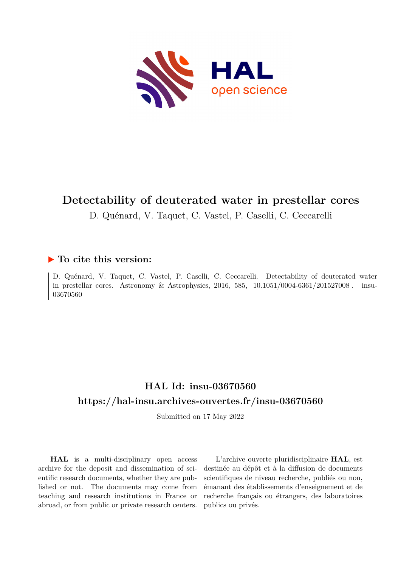

# **Detectability of deuterated water in prestellar cores**

D. Quénard, V. Taquet, C. Vastel, P. Caselli, C. Ceccarelli

# **To cite this version:**

D. Quénard, V. Taquet, C. Vastel, P. Caselli, C. Ceccarelli. Detectability of deuterated water in prestellar cores. Astronomy & Astrophysics, 2016, 585,  $10.1051/0004-6361/201527008$ . insu-03670560

# **HAL Id: insu-03670560 <https://hal-insu.archives-ouvertes.fr/insu-03670560>**

Submitted on 17 May 2022

**HAL** is a multi-disciplinary open access archive for the deposit and dissemination of scientific research documents, whether they are published or not. The documents may come from teaching and research institutions in France or abroad, or from public or private research centers.

L'archive ouverte pluridisciplinaire **HAL**, est destinée au dépôt et à la diffusion de documents scientifiques de niveau recherche, publiés ou non, émanant des établissements d'enseignement et de recherche français ou étrangers, des laboratoires publics ou privés.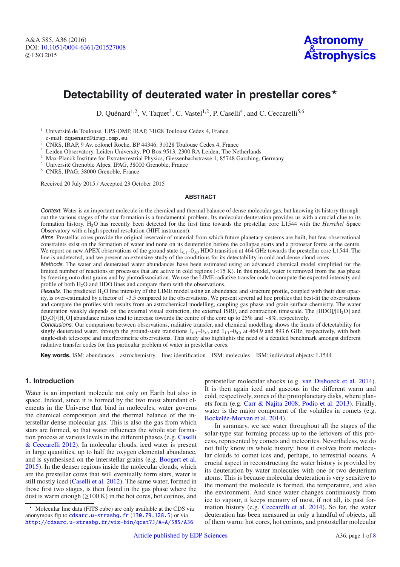# Detectability of deuterated water in prestellar cores<sup>\*</sup>

D. Quénard<sup>1,2</sup>, V. Taquet<sup>3</sup>, C. Vastel<sup>1,2</sup>, P. Caselli<sup>4</sup>, and C. Ceccarelli<sup>5,6</sup>

<sup>1</sup> Université de Toulouse, UPS-OMP, IRAP, 31028 Toulouse Cedex 4, France

<sup>2</sup> CNRS, IRAP, 9 Av. colonel Roche, BP 44346, 31028 Toulouse Cedex 4, France<br><sup>3</sup> Leiden Observatory, Leiden University, PO Box 9513, 2300 RA Leiden, The Netherlands<br><sup>4</sup> Max-Planck Institute for Extraterrestrial Physics, G

<sup>6</sup> CNRS, IPAG, 38000 Grenoble, France

Received 20 July 2015 / Accepted 23 October 2015

#### **ABSTRACT**

Context. Water is an important molecule in the chemical and thermal balance of dense molecular gas, but knowing its history throughout the various stages of the star formation is a fundamental problem. Its molecular deuteration provides us with a crucial clue to its formation history. H2O has recently been detected for the first time towards the prestellar core L1544 with the *Herschel* Space Observatory with a high spectral resolution (HIFI instrument).

Aims. Prestellar cores provide the original reservoir of material from which future planetary systems are built, but few observational constraints exist on the formation of water and none on its deuteration before the collapse starts and a protostar forms at the centre. We report on new APEX observations of the ground state  $1_{0.1}$ –0<sub>00</sub> HDO transition at 464 GHz towards the prestellar core L1544. The line is undetected, and we present an extensive study of the conditions for its detectability in cold and dense cloud cores.

Methods. The water and deuterated water abundances have been estimated using an advanced chemical model simplified for the limited number of reactions or processes that are active in cold regions (<15 K). In this model, water is removed from the gas phase by freezing onto dust grains and by photodissociation. We use the LIME radiative transfer code to compute the expected intensity and profile of both  $H_2O$  and HDO lines and compare them with the observations.

Results. The predicted  $H_2O$  line intensity of the LIME model using an abundance and structure profile, coupled with their dust opacity, is over-estimated by a factor of ∼3.5 compared to the observations. We present several ad hoc profiles that best-fit the observations and compare the profiles with results from an astrochemical modelling, coupling gas phase and grain surface chemistry. The water deuteration weakly depends on the external visual extinction, the external ISRF, and contraction timescale. The [HDO]/[H2O] and [D2O]/[H2O] abundance ratios tend to increase towards the centre of the core up to 25% and ∼8%, respectively.

Conclusions. Our comparison between observations, radiative transfer, and chemical modelling shows the limits of detectability for singly deuterated water, through the ground-state transitions  $1_{0,1}-0_{0,0}$  and  $1_{1,1}-0_{0,0}$  at 464.9 and 893.6 GHz, respectively, with both single-dish telescope and interferometric observations. This study also highlights the need of a detailed benchmark amongst different radiative transfer codes for this particular problem of water in prestellar cores.

**Key words.** ISM: abundances – astrochemistry – line: identification – ISM: molecules – ISM: individual objects: L1544

# **1. Introduction**

Water is an important molecule not only on Earth but also in space. Indeed, since it is formed by the two most abundant elements in the Universe that bind in molecules, water governs the chemical composition and the thermal balance of the interstellar dense molecular gas. This is also the gas from which stars are formed, so that water influences the whole star formation process at various levels in the different phases (e.g. Caselli & Ceccarelli 2012). In molecular clouds, iced water is present in large quantities, up to half the oxygen elemental abundance, and is synthesised on the interstellar grains (e.g. Boogert et al. 2015). In the denser regions inside the molecular clouds, which are the prestellar cores that will eventually form stars, water is still mostly iced (Caselli et al. 2012). The same water, formed in those first two stages, is then found in the gas phase where the dust is warm enough  $(\geq 100 \text{ K})$  in the hot cores, hot corinos, and

protostellar molecular shocks (e.g. van Dishoeck et al. 2014). It is then again iced and gaseous in the different warm and cold, respectively, zones of the protoplanetary disks, where planets form (e.g. Carr & Najita 2008; Podio et al. 2013). Finally, water is the major component of the volatiles in comets (e.g. Bockelée-Morvan et al. 2014).

In summary, we see water throughout all the stages of the solar-type star forming process up to the leftovers of this process, represented by comets and meteorites. Nevertheless, we do not fully know its whole history: how it evolves from molecular clouds to comet ices and, perhaps, to terrestrial oceans. A crucial aspect in reconstructing the water history is provided by its deuteration by water molecules with one or two deuterium atoms. This is because molecular deuteration is very sensitive to the moment the molecule is formed, the temperature, and also the environment. And since water changes continuously from ice to vapour, it keeps memory of most, if not all, its past formation history (e.g. Ceccarelli et al. 2014). So far, the water deuteration has been measured in only a handful of objects, all of them warm: hot cores, hot corinos, and protostellar molecular

<sup>-</sup> Molecular line data (FITS cube) are only available at the CDS via anonymous ftp to [cdsarc.u-strasbg.fr](http://cdsarc.u-strasbg.fr) ([130.79.128.5](ftp://130.79.128.5)) or via <http://cdsarc.u-strasbg.fr/viz-bin/qcat?J/A+A/585/A36>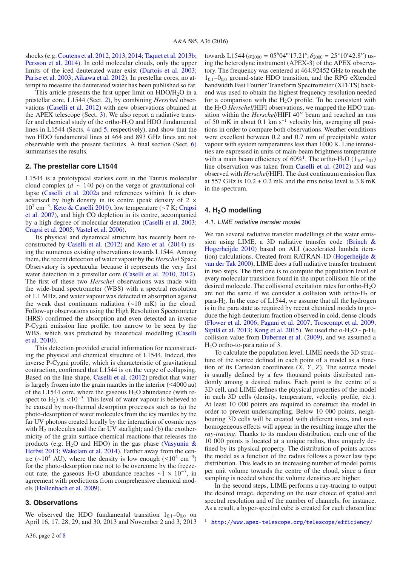shocks (e.g. Coutens et al. 2012, 2013, 2014; Taquet et al. 2013b; Persson et al. 2014). In cold molecular clouds, only the upper limits of the iced deuterated water exist (Dartois et al. 2003; Parise et al. 2003; Aikawa et al. 2012). In prestellar cores, no attempt to measure the deuterated water has been published so far.

This article presents the first upper limit on  $HDO/H<sub>2</sub>O$  in a prestellar core, L1544 (Sect. 2), by combining *Herschel* observations (Caselli et al. 2012) with new observations obtained at the APEX telescope (Sect. 3). We also report a radiative transfer and chemical study of the ortho-H2O and HDO fundamental lines in L1544 (Sects. 4 and 5, respectively), and show that the two HDO fundamental lines at 464 and 893 GHz lines are not observable with the present facilities. A final section (Sect. 6) summarises the results.

# **2. The prestellar core L1544**

L1544 is a prototypical starless core in the Taurus molecular cloud complex (*d* ∼ 140 pc) on the verge of gravitational collapse (Caselli et al. 2002a and references within). It is characterised by high density in its centre (peak density of  $2 \times$  $10^7$  cm<sup>-3</sup>; Keto & Caselli 2010), low temperature (∼7 K; Crapsi et al. 2007), and high CO depletion in its centre, accompanied by a high degree of molecular deuteration (Caselli et al. 2003; Crapsi et al. 2005; Vastel et al. 2006).

Its physical and dynamical structure has recently been reconstructed by Caselli et al. (2012) and Keto et al. (2014) using the numerous existing observations towards L1544. Among them, the recent detection of water vapour by the *Herschel* Space Observatory is spectacular because it represents the very first water detection in a prestellar core (Caselli et al. 2010, 2012). The first of these two *Herschel* observations was made with the wide-band spectrometer (WBS) with a spectral resolution of 1.1 MHz, and water vapour was detected in absorption against the weak dust continuum radiation (∼10 mK) in the cloud. Follow-up observations using the High Resolution Spectrometer (HRS) confirmed the absorption and even detected an inverse P-Cygni emission line profile, too narrow to be seen by the WBS, which was predicted by theoretical modelling (Caselli et al. 2010).

This detection provided crucial information for reconstructing the physical and chemical structure of L1544. Indeed, this inverse P-Cygni profile, which is characteristic of gravitational contraction, confirmed that L1544 is on the verge of collapsing. Based on the line shape, Caselli et al. (2012) predict that water is largely frozen into the grain mantles in the interior  $(\leq 4000 \text{ au})$ of the L1544 core, where the gaseous  $H_2O$  abundance (with respect to H<sub>2</sub>) is <10<sup>-9</sup>. This level of water vapour is believed to be caused by non-thermal desorption processes such as (a) the photo-desorption of water molecules from the icy mantles by the far UV photons created locally by the interaction of cosmic rays with  $H_2$  molecules and the far UV starlight; and (b) the exothermicity of the grain surface chemical reactions that releases the products (e.g. H<sub>2</sub>O and HDO) in the gas phase (Vasyunin & Herbst 2013; Wakelam et al. 2014). Farther away from the centre (∼10<sup>4</sup> AU), where the density is low enough (≤10<sup>4</sup> cm<sup>-3</sup>) for the photo-desorption rate not to be overcome by the freezeout rate, the gaseous H<sub>2</sub>O abundance reaches ~1 × 10<sup>-7</sup>, in agreement with predictions from comprehensive chemical models (Hollenbach et al. 2009).

### **3. Observations**

We observed the HDO fundamental transition  $1_{0,1}$ – $0_{0,0}$  on April 16, 17, 28, 29, and 30, 2013 and November 2 and 3, 2013

towards L1544 ( $\alpha_{2000} = 05^{\text{h}}04^{\text{m}}17.21^{\text{s}}$ ,  $\delta_{2000} = 25^{\circ}10'42.8''$ ) using the heterodyne instrument (APEX-3) of the APEX observatory. The frequency was centered at 464.92452 GHz to reach the  $1<sub>01</sub>$ – $0<sub>00</sub>$  ground-state HDO transition, and the RPG eXtended bandwidth Fast Fourier Transform Spectrometer (XFFTS) backend was used to obtain the highest frequency resolution needed for a comparison with the  $H_2O$  profile. To be consistent with the H2O *Herschel*/HIFI observations, we mapped the HDO transition within the *Herschel*/HIFI 40" beam and reached an rms of 50 mK in about 0.1 km s<sup>-1</sup> velocity bin, averaging all positions in order to compare both observations. Weather conditions were excellent between 0.2 and 0.7 mm of precipitable water vapour with system temperatures less than 1000 K. Line intensities are expressed in units of main-beam brightness temperature with a main beam efficiency of  $60\%$ <sup>1</sup>. The ortho-H<sub>2</sub>O (1<sub>10</sub>–1<sub>01</sub>) line observation was taken from Caselli et al. (2012) and was observed with *Herschel*/HIFI. The dust continuum emission flux at 557 GHz is  $10.2 \pm 0.2$  mK and the rms noise level is 3.8 mK in the spectrum.

# **4. H2O modelling**

#### 4.1. LIME radiative transfer model

We ran several radiative transfer modellings of the water emission using LIME, a 3D radiative transfer code (Brinch & Hogerheijde 2010) based on ALI (accelerated lambda iteration) calculations. Created from RATRAN-1D (Hogerheijde & van der Tak 2000), LIME does a full radiative transfer treatment in two steps. The first one is to compute the population level of every molecular transition found in the input collision file of the desired molecule. The collisional excitation rates for ortho-H2O are not the same if we consider a collision with ortho- $H_2$  or para- $H<sub>2</sub>$ . In the case of L1544, we assume that all the hydrogen is in the para state as required by recent chemical models to produce the high deuterium fraction observed in cold, dense clouds (Flower et al. 2006; Pagani et al. 2007; Troscompt et al. 2009; Sipilä et al. 2013; Kong et al. 2015). We used the  $o-H<sub>2</sub>O - p-H<sub>2</sub>$ collision value from Dubernet et al. (2009), and we assumed a  $H<sub>2</sub>O$  ortho-to-para ratio of 3.

To calculate the population level, LIME needs the 3D structure of the source defined in each point of a model as a function of its Cartesian coordinates (*X*, *Y*, *Z*). The source model is usually defined by a few thousand points distributed randomly among a desired radius. Each point is the centre of a 3D cell, and LIME defines the physical properties of the model in each 3D cells (density, temperature, velocity profile, etc.). At least 10 000 points are required to construct the model in order to prevent undersampling. Below 10 000 points, neighbouring 3D cells will be created with different sizes, and nonhomogeneous effects will appear in the resulting image after the *ray-tracing*. Thanks to its random distribution, each one of the 10 000 points is located at a unique radius, thus uniquely defined by its physical property. The distribution of points across the model as a function of the radius follows a power law type distribution. This leads to an increasing number of model points per unit volume towards the centre of the cloud, since a finer sampling is needed where the volume densities are higher.

In the second steps, LIME performs a ray-tracing to output the desired image, depending on the user choice of spatial and spectral resolution and of the number of channels, for instance. As a result, a hyper-spectral cube is created for each chosen line

<sup>1</sup> <http://www.apex-telescope.org/telescope/efficiency/>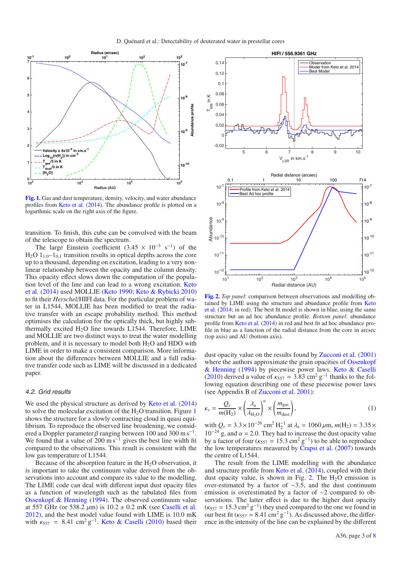

**[Fig. 1.](http://dexter.edpsciences.org/applet.php?DOI=10.1051/0004-6361/201527008&pdf_id=1)** Gas and dust temperature, density, velocity, and water abundance profiles from Keto et al. (2014). The abundance profile is plotted on a logarthmic scale on the right axis of the figure.

transition. To finish, this cube can be convolved with the beam of the telescope to obtain the spectrum.

The large Einstein coefficient  $(3.45 \times 10^{-3} \text{ s}^{-1})$  of the  $H_2O$  1<sub>10</sub>–1<sub>01</sub> transition results in optical depths across the core up to a thousand, depending on excitation, leading to a very nonlinear relationship between the opacity and the column density. This opacity effect slows down the computation of the population level of the line and can lead to a wrong excitation. Keto et al. (2014) used MOLLIE (Keto 1990; Keto & Rybicki 2010) to fit their *Herschel*/HIFI data. For the particular problem of water in L1544, MOLLIE has been modified to treat the radiative transfer with an escape probability method. This method optimises the calculation for the optically thick, but highly subthermally excited  $H<sub>2</sub>O$  line towards L1544. Therefore, LIME and MOLLIE are two distinct ways to treat the water modelling problem, and it is necessary to model both  $H<sub>2</sub>O$  and HDO with LIME in order to make a consistent comparison. More information about the differences between MOLLIE and a full radiative transfer code such as LIME will be discussed in a dedicated paper.

#### 4.2. Grid results

We used the physical structure as derived by Keto et al. (2014) to solve the molecular excitation of the  $H_2O$  transition. Figure 1 shows the structure for a slowly contracting cloud in quasi equilibrium. To reproduce the observed line broadening, we considered a Doppler parameter  $\beta$  ranging between 100 and 300 m s<sup>-1</sup>. We found that a value of  $200 \text{ m s}^{-1}$  gives the best line width fit compared to the observations. This result is consistent with the low gas temperature of L1544.

Because of the absorption feature in the  $H<sub>2</sub>O$  observation, it is important to take the continuum value derived from the observations into account and compare its value to the modelling. The LIME code can deal with different input dust opacity files as a function of wavelength such as the tabulated files from Ossenkopf & Henning (1994). The observed continuum value at 557 GHz (or 538.2  $\mu$ m) is 10.2  $\pm$  0.2 mK (see Caselli et al. 2012), and the best model value found with LIME is 10.0 mK with  $\kappa_{557}$  = 8.41 cm<sup>2</sup> g<sup>-1</sup>. Keto & Caselli (2010) based their



**[Fig. 2.](http://dexter.edpsciences.org/applet.php?DOI=10.1051/0004-6361/201527008&pdf_id=2)** *Top panel*: comparison between observations and modelling obtained by LIME using the structure and abundance profile from Keto et al. (2014; in red). The best fit model is shown in blue, using the same structure but an ad hoc abundance profile. *Bottom panel*: abundance profile from Keto et al. (2014) in red and best fit ad hoc abundance profile in blue as a function of the radial distance from the core in arcsec (top axis) and AU (bottom axis).

dust opacity value on the results found by Zucconi et al. (2001) where the authors approximate the grain opacities of Ossenkopf & Henning (1994) by piecewise power laws. Keto & Caselli (2010) derived a value of  $\kappa_{557} = 3.83 \text{ cm}^2 \text{ g}^{-1}$  thanks to the following equation describing one of these piecewise power laws (see Appendix B of Zucconi et al. 2001):

$$
\kappa_{\nu} = \frac{Q_{\nu}}{m(\text{H}_2)} \times \left(\frac{\lambda_a}{\lambda_{\text{H}_2\text{O}}}\right)^{\alpha} \times \left(\frac{m_{\text{gas}}}{m_{\text{dust}}}\right),\tag{1}
$$

with  $Q_v = 3.3 \times 10^{-26}$  cm<sup>2</sup> H<sub>2</sub><sup>-1</sup> at  $\lambda_a = 1060 \,\mu$ m,  $m(H_2) = 3.35 \times$  $10^{-24}$  g, and  $\alpha = 2.0$ . They had to increase the dust opacity value by a factor of four ( $\kappa_{557} = 15.3 \text{ cm}^2 \text{ g}^{-1}$ ) to be able to reproduce the low temperatures measured by Crapsi et al. (2007) towards the centre of L1544.

The result from the LIME modelling with the abundance and structure profile from Keto et al. (2014), coupled with their dust opacity value, is shown in Fig. 2. The  $H_2O$  emission is over-estimated by a factor of ∼3.5, and the dust continuum emission is overestimated by a factor of ∼2 compared to observations. The latter effect is due to the higher dust opacity  $(\kappa_{557} = 15.3 \text{ cm}^2 \text{ g}^{-1})$  they used compared to the one we found in our best fit ( $\kappa_{557} = 8.41 \text{ cm}^2 \text{ g}^{-1}$ ). As discussed above, the difference in the intensity of the line can be explained by the different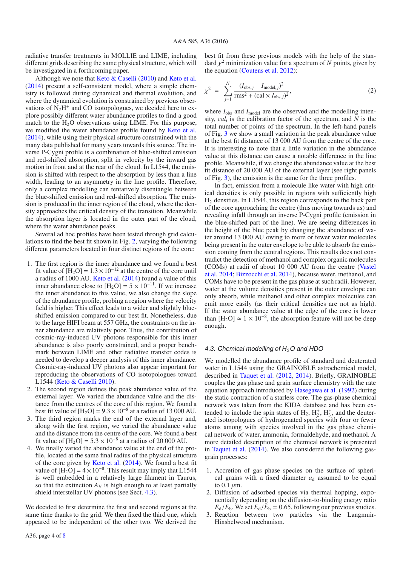radiative transfer treatments in MOLLIE and LIME, including different grids describing the same physical structure, which will be investigated in a forthcoming paper.

Although we note that Keto & Caselli (2010) and Keto et al. (2014) present a self-consistent model, where a simple chemistry is followed during dynamical and thermal evolution, and where the dynamical evolution is constrained by previous observations of  $N_2H^+$  and CO isotopologues, we decided here to explore possibly different water abundance profiles to find a good match to the  $H_2O$  observations using LIME. For this purpose, we modified the water abundance profile found by Keto et al. (2014), while using their physical structure constrained with the many data published for many years towards this source. The inverse P-Cygni profile is a combination of blue-shifted emission and red-shifted absorption, split in velocity by the inward gas motion in front and at the rear of the cloud. In L1544, the emission is shifted with respect to the absorption by less than a line width, leading to an asymmetry in the line profile. Therefore, only a complex modelling can tentatively disentangle between the blue-shifted emission and red-shifted absorption. The emission is produced in the inner region of the cloud, where the density approaches the critical density of the transition. Meanwhile the absorption layer is located in the outer part of the cloud, where the water abundance peaks.

Several ad hoc profiles have been tested through grid calculations to find the best fit shown in Fig. 2, varying the following different parameters located in four distinct regions of the core:

- 1. The first region is the inner abundance and we found a best fit value of  $[H_2O] = 1.3 \times 10^{-12}$  at the centre of the core until a radius of 1000 AU. Keto et al. (2014) found a value of this inner abundance close to  $[H_2O] = 5 \times 10^{-11}$ . If we increase the inner abundance to this value, we also change the slope of the abundance profile, probing a region where the velocity field is higher. This effect leads to a wider and slightly blueshifted emission compared to our best fit. Nonetheless, due to the large HIFI beam at 557 GHz, the constraints on the inner abundance are relatively poor. Thus, the contribution of cosmic-ray-induced UV photons responsible for this inner abundance is also poorly constrained, and a proper benchmark between LIME and other radiative transfer codes is needed to develop a deeper analysis of this inner abundance. Cosmic-ray-induced UV photons also appear important for reproducing the observations of CO isotopologues toward L1544 (Keto & Caselli 2010).
- 2. The second region defines the peak abundance value of the external layer. We varied the abundance value and the distance from the centres of the core of this region. We found a best fit value of  $[H_2O] = 9.3 \times 10^{-8}$  at a radius of 13 000 AU.
- 3. The third region marks the end of the external layer and, along with the first region, we varied the abundance value and the distance from the centre of the core. We found a best fit value of  $[H_2O] = 5.3 \times 10^{-8}$  at a radius of 20 000 AU.
- 4. We finally varied the abundance value at the end of the profile, located at the same final radius of the physical structure of the core given by Keto et al. (2014). We found a best fit value of  $[H_2O] = 4 \times 10^{-8}$ . This result may imply that L1544 is well embedded in a relatively large filament in Taurus, so that the extinction  $A_V$  is high enough to at least partially shield interstellar UV photons (see Sect. 4.3).

We decided to first determine the first and second regions at the same time thanks to the grid. We then fixed the third one, which appeared to be independent of the other two. We derived the

A36, page 4 of 8

best fit from these previous models with the help of the standard  $\chi^2$  minimization value for a spectrum of *N* points, given by the equation (Coutens et al. 2012):

$$
\chi^2 = \sum_{j=1}^{N} \frac{(I_{\text{obs},j} - I_{\text{model},j})^2}{\text{rms}^2 + (\text{cal} \times I_{\text{obs},j})^2},\tag{2}
$$

where  $I_{obs}$  and  $I_{model}$  are the observed and the modelling intensity, *cali* is the calibration factor of the spectrum, and *N* is the total number of points of the spectrum. In the left-hand panels of Fig. 3 we show a small variation in the peak abundance value at the best fit distance of 13 000 AU from the centre of the core. It is interesting to note that a little variation in the abundance value at this distance can cause a notable difference in the line profile. Meanwhile, if we change the abundance value at the best fit distance of 20 000 AU of the external layer (see right panels of Fig. 3), the emission is the same for the three profiles.

In fact, emission from a molecule like water with high critical densities is only possible in regions with sufficiently high H2 densities. In L1544, this region corresponds to the back part of the core approaching the centre (thus moving towards us) and revealing infall through an inverse P-Cygni profile (emission in the blue-shifted part of the line). We are seeing differences in the height of the blue peak by changing the abundance of water around 13 000 AU owing to more or fewer water molecules being present in the outer envelope to be able to absorb the emission coming from the central regions. This results does not contradict the detection of methanol and complex organic molecules (COMs) at radii of about 10 000 AU from the centre (Vastel et al. 2014; Bizzocchi et al. 2014), because water, methanol, and COMs have to be present in the gas phase at such radii. However, water at the volume densities present in the outer envelope can only absorb, while methanol and other complex molecules can emit more easily (as their critical densities are not as high). If the water abundance value at the edge of the core is lower than  $[H_2O] \simeq 1 \times 10^{-8}$ , the absorption feature will not be deep enough.

### 4.3. Chemical modelling of <sup>H</sup>*2*O and HDO

We modelled the abundance profile of standard and deuterated water in L1544 using the GRAINOBLE astrochemical model, described in Taquet et al. (2012, 2014). Briefly, GRAINOBLE couples the gas phase and grain surface chemistry with the rate equation approach introduced by Hasegawa et al. (1992) during the static contraction of a starless core. The gas-phase chemical network was taken from the KIDA database and has been extended to include the spin states of  $H_2$ ,  $H_2^+$ ,  $H_3^+$ , and the deuterated isotopologues of hydrogenated species with four or fewer atoms among with species involved in the gas phase chemical network of water, ammonia, formaldehyde, and methanol. A more detailed description of the chemical network is presented in Taquet et al. (2014). We also considered the following gasgrain processes:

- 1. Accretion of gas phase species on the surface of spherical grains with a fixed diameter  $a_d$  assumed to be equal to  $0.1 \mu m$ .
- 2. Diffusion of adsorbed species via thermal hopping, exponentially depending on the diffusion-to-binding energy ratio  $E_d/E_b$ . We set  $E_d/E_b = 0.65$ , following our previous studies.
- 3. Reaction between two particles via the Langmuir-Hinshelwood mechanism.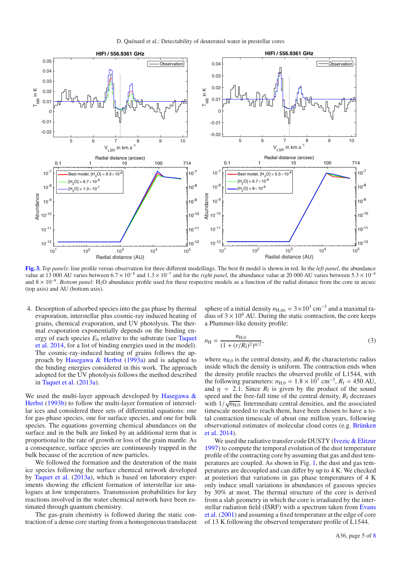

**[Fig. 3.](http://dexter.edpsciences.org/applet.php?DOI=10.1051/0004-6361/201527008&pdf_id=3)** *Top panels*: line profile versus observation for three different modellings. The best fit model is shown in red. In the *left panel*, the abundance value at 13 000 AU varies between 6.7 × 10−<sup>8</sup> and 1.3 × 10−<sup>7</sup> and for the *right panel*, the abundance value at 20 000 AU varies between 5.3 × 10−<sup>8</sup> and 8 × 10<sup>-8</sup>. *Bottom panel*: H<sub>2</sub>O abundance profile used for these respective models as a function of the radial distance from the core in arcsec (top axis) and AU (bottom axis).

4. Desorption of adsorbed species into the gas phase by thermal evaporation, interstellar plus cosmic-ray induced heating of grains, chemical evaporation, and UV photolysis. The thermal evaporation exponentially depends on the binding energy of each species *E*<sup>b</sup> relative to the substrate (see Taquet et al. 2014, for a list of binding energies used in the model). The cosmic-ray-induced heating of grains follows the approach by Hasegawa & Herbst (1993a) and is adapted to the binding energies considered in this work. The approach adopted for the UV photolysis follows the method described in Taquet et al. (2013a).

We used the multi-layer approach developed by Hasegawa & Herbst (1993b) to follow the multi-layer formation of interstellar ices and considered three sets of differential equations: one for gas-phase species, one for surface species, and one for bulk species. The equations governing chemical abundances on the surface and in the bulk are linked by an additional term that is proportional to the rate of growth or loss of the grain mantle. As a consequence, surface species are continuously trapped in the bulk because of the accretion of new particles.

We followed the formation and the deuteration of the main ice species following the surface chemical network developed by Taquet et al. (2013a), which is based on laboratory experiments showing the efficient formation of interstellar ice analogues at low temperatures. Transmission probabilities for key reactions involved in the water chemical network have been estimated through quantum chemistry.

The gas-grain chemistry is followed during the static contraction of a dense core starting from a homogeneous translucent sphere of a initial density  $n_{\text{H,ini}} = 3 \times 10^3 \text{ cm}^{-3}$  and a maximal radius of  $3 \times 10^4$  AU. During the static contraction, the core keeps a Plummer-like density profile:

$$
n_{\rm H} = \frac{n_{\rm H,0}}{(1 + (r/R_{\rm f})^2)^{\eta/2}},\tag{3}
$$

where  $n_{\text{H},0}$  is the central density, and  $R_{\text{f}}$  the characteristic radius inside which the density is uniform. The contraction ends when the density profile reaches the observed profile of L1544, with the following parameters:  $n_{H,0} = 1.8 \times 10^7$  cm<sup>-3</sup>,  $R_f = 450$  AU, and  $\eta = 2.1$ . Since  $R_f$  is given by the product of the sound speed and the free-fall time of the central density,  $R_f$  decreases with  $1/\sqrt{n_{\text{H},0}}$ . Intermediate central densities, and the associated timescale needed to reach them, have been chosen to have a total contraction timescale of about one million years, following observational estimates of molecular cloud cores (e.g. Brünken et al. 2014).

We used the radiative transfer code DUSTY (Ivezic & Elitzur 1997) to compute the temporal evolution of the dust temperature profile of the contracting core by assuming that gas and dust temperatures are coupled. As shown in Fig. 1, the dust and gas temperatures are decoupled and can differ by up to 4 K. We checked at posteriori that variations in gas phase temperatures of 4 K only induce small variations in abundances of gaseous species by 30% at most. The thermal structure of the core is derived from a slab geometry in which the core is irradiated by the interstellar radiation field (ISRF) with a spectrum taken from Evans et al. (2001) and assuming a fixed temperature at the edge of core of 13 K following the observed temperature profile of L1544.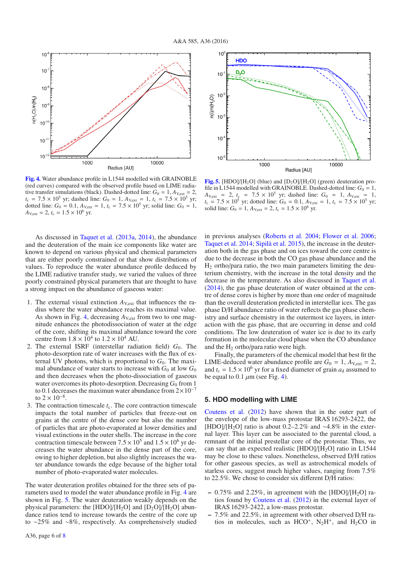

**[Fig. 4.](http://dexter.edpsciences.org/applet.php?DOI=10.1051/0004-6361/201527008&pdf_id=4)** Water abundance profile in L1544 modelled with GRAINOBLE (red curves) compared with the observed profile based on LIME radiative transfer simulations (black). Dashed-dotted line:  $G_0 = 1$ ,  $A_{V,ext} = 2$ ,  $t_c = 7.5 \times 10^5$  yr; dashed line:  $G_0 = 1$ ,  $A_{V,ext} = 1$ ,  $t_c = 7.5 \times 10^5$  yr; dotted line:  $G_0 = 0.1$ ,  $A_{V,ext} = 1$ ,  $t_c = 7.5 \times 10^5$  yr; solid line:  $G_0 = 1$ ,  $A_{\text{V,ext}} = 2$ ,  $t_c = 1.5 \times 10^6$  yr.

As discussed in Taquet et al. (2013a, 2014), the abundance and the deuteration of the main ice components like water are known to depend on various physical and chemical parameters that are either poorly constrained or that show distributions of values. To reproduce the water abundance profile deduced by the LIME radiative transfer study, we varied the values of three poorly constrained physical parameters that are thought to have a strong impact on the abundance of gaseous water:

- 1. The external visual extinction  $A_{V,ext}$  that influences the radius where the water abundance reaches its maximal value. As shown in Fig. 4, decreasing  $A_{V,ext}$  from two to one magnitude enhances the photodissociation of water at the edge of the core, shifting its maximal abundance toward the core centre from  $1.8 \times 10^4$  to  $1.2 \times 10^4$  AU.
- 2. The external ISRF (interstellar radiation field)  $G_0$ . The photo-desorption rate of water increases with the flux of external UV photons, which is proportional to  $G_0$ . The maximal abundance of water starts to increase with  $G_0$  at low  $G_0$ and then decreases when the photo-dissociation of gaseous water overcomes its photo-desorption. Decreasing  $G_0$  from 1 to 0.1 decreases the maximun water abundance from  $2 \times 10^{-7}$ to  $2 \times 10^{-8}$ .
- 3. The contraction timescale  $t_c$ . The core contraction timescale impacts the total number of particles that freeze-out on grains at the centre of the dense core but also the number of particles that are photo-evaporated at lower densities and visual extinctions in the outer shells. The increase in the core contraction timescale between  $7.5 \times 10^5$  and  $1.5 \times 10^6$  yr decreases the water abundance in the dense part of the core, owing to higher depletion, but also slightly increases the water abundance towards the edge because of the higher total number of photo-evaporated water molecules.

The water deuteration profiles obtained for the three sets of parameters used to model the water abundance profile in Fig. 4 are shown in Fig. 5. The water deuteration weakly depends on the physical parameters: the [HDO]/[H<sub>2</sub>O] and [D<sub>2</sub>O]/[H<sub>2</sub>O] abundance ratios tend to increase towards the centre of the core up to ∼25% and ∼8%, respectively. As comprehensively studied



**[Fig. 5.](http://dexter.edpsciences.org/applet.php?DOI=10.1051/0004-6361/201527008&pdf_id=5)** [HDO]/[H<sub>2</sub>O] (blue) and  $[D_2O]/[H_2O]$  (green) deuteration profile in L1544 modelled with GRAINOBLE. Dashed-dotted line:  $G_0 = 1$ ,  $A_{V,ext} = 2$ ,  $t_c = 7.5 \times 10^5$  yr; dashed line:  $G_0 = 1$ ,  $A_{V,ext} = 1$ ,  $t_c = 7.5 \times 10^5$  yr; dotted line:  $G_0 = 0.1$ ,  $A_{V,ext} = 1$ ,  $t_c = 7.5 \times 10^5$  yr; solid line:  $G_0 = 1$ ,  $A_{V,ext} = 2$ ,  $t_c = 1.5 \times 10^6$  yr.

in previous analyses (Roberts et al. 2004; Flower et al. 2006; Taquet et al. 2014; Sipilä et al. 2015), the increase in the deuteration both in the gas phase and on ices toward the core centre is due to the decrease in both the CO gas phase abundance and the  $H<sub>2</sub>$  ortho/para ratio, the two main parameters limiting the deuterium chemistry, with the increase in the total density and the decrease in the temperature. As also discussed in Taquet et al. (2014), the gas phase deuteration of water obtained at the centre of dense cores is higher by more than one order of magnitude than the overall deuteration predicted in interstellar ices. The gas phase D/H abundance ratio of water reflects the gas phase chemistry and surface chemistry in the outermost ice layers, in interaction with the gas phase, that are occurring in dense and cold conditions. The low deuteration of water ice is due to its early formation in the molecular cloud phase when the CO abundance and the  $H_2$  ortho/para ratio were high.

Finally, the parameters of the chemical model that best fit the LIME-deduced water abundance profile are  $G_0 = 1$ ,  $A_{V,ext} = 2$ , and  $t_c = 1.5 \times 10^6$  yr for a fixed diameter of grain  $a_d$  assumed to be equal to 0.1  $\mu$ m (see Fig. 4).

# **5. HDO modelling with LIME**

Coutens et al. (2012) have shown that in the outer part of the envelope of the low-mass protostar IRAS 16293-2422, the [HDO]/[H2O] ratio is about 0.2–2.2% and ∼4.8% in the external layer. This layer can be associated to the parental cloud, a remnant of the initial prestellar core of the protostar. Thus, we can say that an expected realistic  $[HDO]/[H_2O]$  ratio in L1544 may be close to these values. Nonetheless, observed D/H ratios for other gaseous species, as well as astrochemical models of starless cores, suggest much higher values, ranging from 7.5% to 22.5%. We chose to consider six different D/H ratios:

- $-$  0.75% and 2.25%, in agreement with the [HDO]/[H<sub>2</sub>O] ratios found by Coutens et al. (2012) in the external layer of IRAS 16293-2422, a low-mass protostar.
- **–** 7.5% and 22.5%, in agreement with other observed D/H ratios in molecules, such as  $HCO^+$ ,  $N_2H^+$ , and  $H_2CO$  in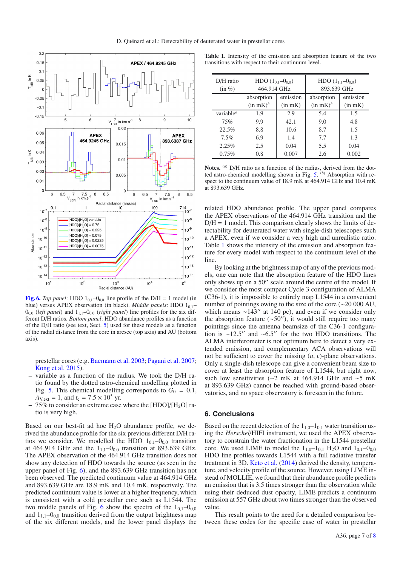

**[Fig. 6.](http://dexter.edpsciences.org/applet.php?DOI=10.1051/0004-6361/201527008&pdf_id=6)** *Top panel*: HDO  $1_{0,1}$ – $0_{0,0}$  line profile of the D/H = 1 model (in blue) versus APEX observation (in black). *Middle panels*: HDO 1<sub>0,1</sub>- $0_{0,0}$  (*left panel*) and  $1_{1,1}-0_{0,0}$  (*right panel*) line profiles for the six different D/H ratios. *Bottom panel*: HDO abundance profiles as a function of the D/H ratio (see text, Sect. 5) used for these models as a function of the radial distance from the core in arcsec (top axis) and AU (bottom axis).

prestellar cores (e.g. Bacmann et al. 2003; Pagani et al. 2007; Kong et al. 2015).

- **–** variable as a function of the radius. We took the D/H ratio found by the dotted astro-chemical modelling plotted in Fig. 5. This chemical modelling corresponds to  $G_0 = 0.1$ ,  $A_{V,ext} = 1$ , and  $t_c = 7.5 \times 10^5$  yr.
- **–** 75% to consider an extreme case where the [HDO]/[H2O] ratio is very high.

Based on our best-fit ad hoc  $H<sub>2</sub>O$  abundance profile, we derived the abundance profile for the six previous different D/H ratios we consider. We modelled the HDO  $1_{0,1}-0_{0,0}$  transition at 464.914 GHz and the  $1_{1,1}$ – $0_{0,0}$  transition at 893.639 GHz. The APEX observation of the 464.914 GHz transition does not show any detection of HDO towards the source (as seen in the upper panel of Fig. 6), and the 893.639 GHz transition has not been observed. The predicted continuum value at 464.914 GHz and 893.639 GHz are 18.9 mK and 10.4 mK, respectively. The predicted continuum value is lower at a higher frequency, which is consistent with a cold prestellar core such as L1544. The two middle panels of Fig. 6 show the spectra of the  $1_{0,1}$ – $0_{0,0}$ and  $1_{1,1}$ – $0_{0,0}$  transition derived from the output brightness map of the six different models, and the lower panel displays the

**Table 1.** Intensity of the emission and absorption feature of the two transitions with respect to their continuum level.

| $D/H$ ratio<br>$(in \%)$           | HDO $(1_{0,1} - 0_{0,0})$<br>464.914 GHz |              | HDO $(1_{1.1} - 0_{0.0})$<br>893.639 GHz |          |
|------------------------------------|------------------------------------------|--------------|------------------------------------------|----------|
|                                    | absorption                               | emission     | absorption                               | emission |
|                                    | $(in$ mK $)^b$                           | $(in$ mK $)$ | (in mK) <sup>b</sup>                     | (in mK)  |
| variable <sup><math>a</math></sup> | 1.9                                      | 2.9          | 5.4                                      | 1.5      |
| 75%                                | 9.9                                      | 42.1         | 9.0                                      | 4.8      |
| 22.5%                              | 8.8                                      | 10.6         | 8.7                                      | 1.5      |
| $7.5\%$                            | 6.9                                      | 1.4          | 7.7                                      | 1.3      |
| 2.25%                              | 2.5                                      | 0.04         | 5.5                                      | 0.04     |
| $0.75\%$                           | 0.8                                      | 0.007        | 2.6                                      | 0.002    |

**Notes.** (*a*) D/H ratio as a function of the radius, derived from the dotted astro-chemical modelling shown in Fig. 5. (*b*) Absorption with respect to the continuum value of 18.9 mK at 464.914 GHz and 10.4 mK at 893.639 GHz.

related HDO abundance profile. The upper panel compares the APEX observations of the 464.914 GHz transition and the  $D/H = 1$  model. This comparison clearly shows the limits of detectability for deuterated water with single-dish telescopes such a APEX, even if we consider a very high and unrealistic ratio. Table 1 shows the intensity of the emission and absorption feature for every model with respect to the continuum level of the line

By looking at the brightness map of any of the previous models, one can note that the absorption feature of the HDO lines only shows up on a 50" scale around the centre of the model. If we consider the most compact Cycle 3 configuration of ALMA (C36-1), it is impossible to entirely map L1544 in a convenient number of pointings owing to the size of the core (∼20 000 AU, which means  $\sim$ 143" at 140 pc), and even if we consider only the absorption feature ( $~50''$ ), it would still require too many pointings since the antenna beamsize of the C36-1 configuration is ∼12.5" and ∼6.5" for the two HDO transitions. The ALMA interferometer is not optimum here to detect a very extended emission, and complementary ACA observations will not be sufficient to cover the missing (*u*, v)-plane observations. Only a single-dish telescope can give a convenient beam size to cover at least the absorption feature of L1544, but right now, such low sensitivities (∼2 mK at 464.914 GHz and ∼5 mK at 893.639 GHz) cannot be reached with ground-based observatories, and no space observatory is foreseen in the future.

### **6. Conclusions**

Based on the recent detection of the  $1_{1,0}-1_{0,1}$  water transition using the *Herschel*/HIFI instrument, we used the APEX observatory to constrain the water fractionation in the L1544 prestellar core. We used LIME to model the  $1_{1,0}-1_{0,1}$  H<sub>2</sub>O and  $1_{0,1}-0_{0,0}$ HDO line profiles towards L1544 with a full radiative transfer treatment in 3D. Keto et al. (2014) derived the density, temperature, and velocity profile of the source. However, using LIME instead of MOLLIE, we found that their abundance profile predicts an emission that is 3.5 times stronger than the observation while using their deduced dust opacity, LIME predicts a continuum emission at 557 GHz about two times stronger than the observed value.

This result points to the need for a detailed comparison between these codes for the specific case of water in prestellar